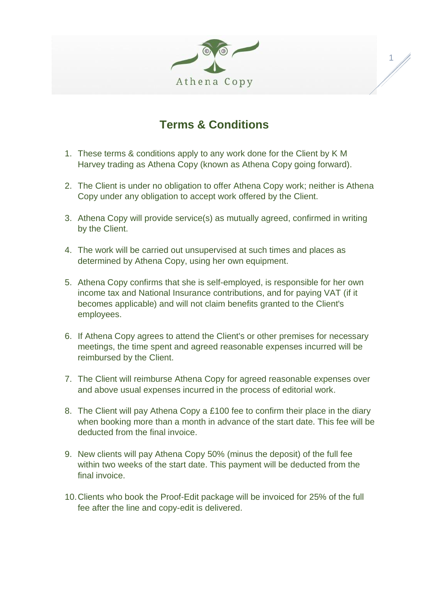

1

## **Terms & Conditions**

- 1. These terms & conditions apply to any work done for the Client by K M Harvey trading as Athena Copy (known as Athena Copy going forward).
- 2. The Client is under no obligation to offer Athena Copy work; neither is Athena Copy under any obligation to accept work offered by the Client.
- 3. Athena Copy will provide service(s) as mutually agreed, confirmed in writing by the Client.
- 4. The work will be carried out unsupervised at such times and places as determined by Athena Copy, using her own equipment.
- 5. Athena Copy confirms that she is self-employed, is responsible for her own income tax and National Insurance contributions, and for paying VAT (if it becomes applicable) and will not claim benefits granted to the Client's employees.
- 6. If Athena Copy agrees to attend the Client's or other premises for necessary meetings, the time spent and agreed reasonable expenses incurred will be reimbursed by the Client.
- 7. The Client will reimburse Athena Copy for agreed reasonable expenses over and above usual expenses incurred in the process of editorial work.
- 8. The Client will pay Athena Copy a £100 fee to confirm their place in the diary when booking more than a month in advance of the start date. This fee will be deducted from the final invoice.
- 9. New clients will pay Athena Copy 50% (minus the deposit) of the full fee within two weeks of the start date. This payment will be deducted from the final invoice.
- 10.Clients who book the Proof-Edit package will be invoiced for 25% of the full fee after the line and copy-edit is delivered.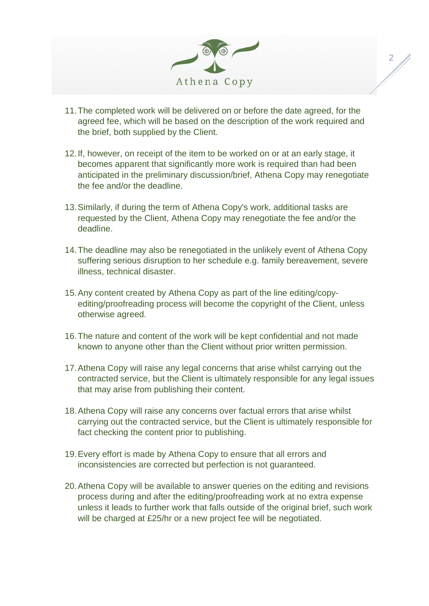

2

- 11.The completed work will be delivered on or before the date agreed, for the agreed fee, which will be based on the description of the work required and the brief, both supplied by the Client.
- 12.If, however, on receipt of the item to be worked on or at an early stage, it becomes apparent that significantly more work is required than had been anticipated in the preliminary discussion/brief, Athena Copy may renegotiate the fee and/or the deadline.
- 13.Similarly, if during the term of Athena Copy's work, additional tasks are requested by the Client, Athena Copy may renegotiate the fee and/or the deadline.
- 14.The deadline may also be renegotiated in the unlikely event of Athena Copy suffering serious disruption to her schedule e.g. family bereavement, severe illness, technical disaster.
- 15.Any content created by Athena Copy as part of the line editing/copyediting/proofreading process will become the copyright of the Client, unless otherwise agreed.
- 16.The nature and content of the work will be kept confidential and not made known to anyone other than the Client without prior written permission.
- 17.Athena Copy will raise any legal concerns that arise whilst carrying out the contracted service, but the Client is ultimately responsible for any legal issues that may arise from publishing their content.
- 18.Athena Copy will raise any concerns over factual errors that arise whilst carrying out the contracted service, but the Client is ultimately responsible for fact checking the content prior to publishing.
- 19.Every effort is made by Athena Copy to ensure that all errors and inconsistencies are corrected but perfection is not guaranteed.
- 20.Athena Copy will be available to answer queries on the editing and revisions process during and after the editing/proofreading work at no extra expense unless it leads to further work that falls outside of the original brief, such work will be charged at £25/hr or a new project fee will be negotiated.